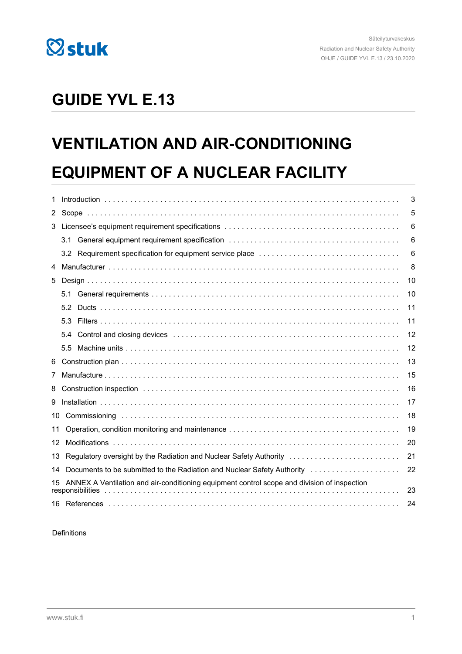

# **GUIDE YVL E.13**

# **VENTILATION AND AIR-CONDITIONING EQUIPMENT OF A NUCLEAR FACILITY**

| 1              | 3                                                                                                                                                                                                                                    |    |  |  |  |  |
|----------------|--------------------------------------------------------------------------------------------------------------------------------------------------------------------------------------------------------------------------------------|----|--|--|--|--|
| $2^{\circ}$    | 5                                                                                                                                                                                                                                    |    |  |  |  |  |
| 3              |                                                                                                                                                                                                                                      | 6  |  |  |  |  |
|                | 3.1                                                                                                                                                                                                                                  | 6  |  |  |  |  |
|                |                                                                                                                                                                                                                                      | 6  |  |  |  |  |
| 4              |                                                                                                                                                                                                                                      |    |  |  |  |  |
| 5              |                                                                                                                                                                                                                                      | 10 |  |  |  |  |
|                | 5.1                                                                                                                                                                                                                                  | 10 |  |  |  |  |
|                |                                                                                                                                                                                                                                      | 11 |  |  |  |  |
|                | 5.3                                                                                                                                                                                                                                  | 11 |  |  |  |  |
|                | Control and closing devices experiences of the control of the control and closing devices experiences of the control of the control of the control of the control of the control of the control of the control of the control<br>5.4 | 12 |  |  |  |  |
|                | 5.5                                                                                                                                                                                                                                  | 12 |  |  |  |  |
| 6              |                                                                                                                                                                                                                                      | 13 |  |  |  |  |
| $\overline{7}$ | 15                                                                                                                                                                                                                                   |    |  |  |  |  |
| 8              | 16                                                                                                                                                                                                                                   |    |  |  |  |  |
| 9              | 17                                                                                                                                                                                                                                   |    |  |  |  |  |
| 10             |                                                                                                                                                                                                                                      | 18 |  |  |  |  |
| 11             |                                                                                                                                                                                                                                      | 19 |  |  |  |  |
| 12             |                                                                                                                                                                                                                                      | 20 |  |  |  |  |
| 13             | Regulatory oversight by the Radiation and Nuclear Safety Authority                                                                                                                                                                   | 21 |  |  |  |  |
| 14             | Documents to be submitted to the Radiation and Nuclear Safety Authority                                                                                                                                                              | 22 |  |  |  |  |
| 15.            | ANNEX A Ventilation and air-conditioning equipment control scope and division of inspection<br>responsibilities                                                                                                                      | 23 |  |  |  |  |
|                |                                                                                                                                                                                                                                      | 24 |  |  |  |  |

#### Definitions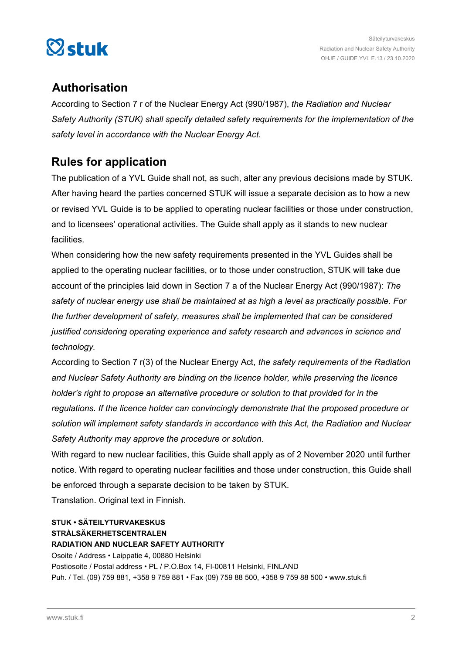

# **Authorisation**

According to Section 7 r of the Nuclear Energy Act (990/1987), *the Radiation and Nuclear Safety Authority (STUK) shall specify detailed safety requirements for the implementation of the safety level in accordance with the Nuclear Energy Act.*

# **Rules for application**

The publication of a YVL Guide shall not, as such, alter any previous decisions made by STUK. After having heard the parties concerned STUK will issue a separate decision as to how a new or revised YVL Guide is to be applied to operating nuclear facilities or those under construction, and to licensees' operational activities. The Guide shall apply as it stands to new nuclear facilities.

When considering how the new safety requirements presented in the YVL Guides shall be applied to the operating nuclear facilities, or to those under construction, STUK will take due account of the principles laid down in Section 7 a of the Nuclear Energy Act (990/1987): *The safety of nuclear energy use shall be maintained at as high a level as practically possible. For the further development of safety, measures shall be implemented that can be considered justified considering operating experience and safety research and advances in science and technology.*

According to Section 7 r(3) of the Nuclear Energy Act, *the safety requirements of the Radiation and Nuclear Safety Authority are binding on the licence holder, while preserving the licence holder's right to propose an alternative procedure or solution to that provided for in the regulations. If the licence holder can convincingly demonstrate that the proposed procedure or solution will implement safety standards in accordance with this Act, the Radiation and Nuclear Safety Authority may approve the procedure or solution.*

With regard to new nuclear facilities, this Guide shall apply as of 2 November 2020 until further notice. With regard to operating nuclear facilities and those under construction, this Guide shall be enforced through a separate decision to be taken by STUK.

Translation. Original text in Finnish.

# **STUK • SÄTEILYTURVAKESKUS STRÅLSÄKERHETSCENTRALEN**

**RADIATION AND NUCLEAR SAFETY AUTHORITY** Osoite / Address • Laippatie 4, 00880 Helsinki Postiosoite / Postal address • PL / P.O.Box 14, FI-00811 Helsinki, FINLAND Puh. / Tel. (09) 759 881, +358 9 759 881 • Fax (09) 759 88 500, +358 9 759 88 500 • www.stuk.fi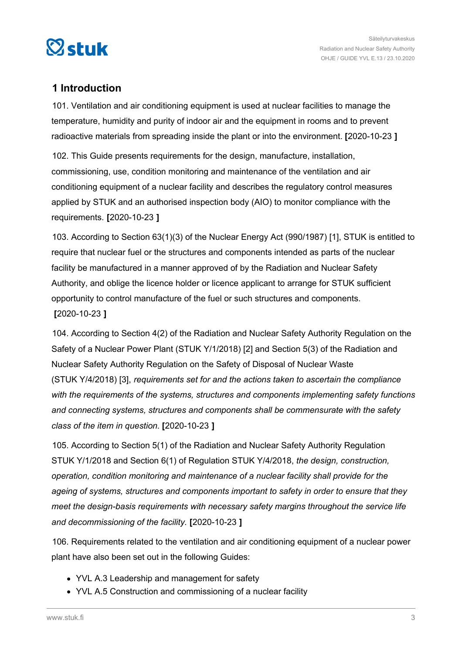<span id="page-2-0"></span>

# **1 Introduction**

101. Ventilation and air conditioning equipment is used at nuclear facilities to manage the temperature, humidity and purity of indoor air and the equipment in rooms and to prevent radioactive materials from spreading inside the plant or into the environment. **[**2020-10-23 **]**

102. This Guide presents requirements for the design, manufacture, installation, commissioning, use, condition monitoring and maintenance of the ventilation and air conditioning equipment of a nuclear facility and describes the regulatory control measures applied by STUK and an authorised inspection body (AIO) to monitor compliance with the requirements. **[**2020-10-23 **]**

103. According to Section 63(1)(3) of the Nuclear Energy Act (990/1987) [1], STUK is entitled to require that nuclear fuel or the structures and components intended as parts of the nuclear facility be manufactured in a manner approved of by the Radiation and Nuclear Safety Authority, and oblige the licence holder or licence applicant to arrange for STUK sufficient opportunity to control manufacture of the fuel or such structures and components. **[**2020-10-23 **]**

104. According to Section 4(2) of the Radiation and Nuclear Safety Authority Regulation on the Safety of a Nuclear Power Plant (STUK Y/1/2018) [2] and Section 5(3) of the Radiation and Nuclear Safety Authority Regulation on the Safety of Disposal of Nuclear Waste (STUK Y/4/2018) [3], *requirements set for and the actions taken to ascertain the compliance with the requirements of the systems, structures and components implementing safety functions and connecting systems, structures and components shall be commensurate with the safety class of the item in question.* **[**2020-10-23 **]**

105. According to Section 5(1) of the Radiation and Nuclear Safety Authority Regulation STUK Y/1/2018 and Section 6(1) of Regulation STUK Y/4/2018, *the design, construction, operation, condition monitoring and maintenance of a nuclear facility shall provide for the ageing of systems, structures and components important to safety in order to ensure that they meet the design-basis requirements with necessary safety margins throughout the service life and decommissioning of the facility.* **[**2020-10-23 **]**

106. Requirements related to the ventilation and air conditioning equipment of a nuclear power plant have also been set out in the following Guides:

- YVL A.3 Leadership and management for safety
- YVL A.5 Construction and commissioning of a nuclear facility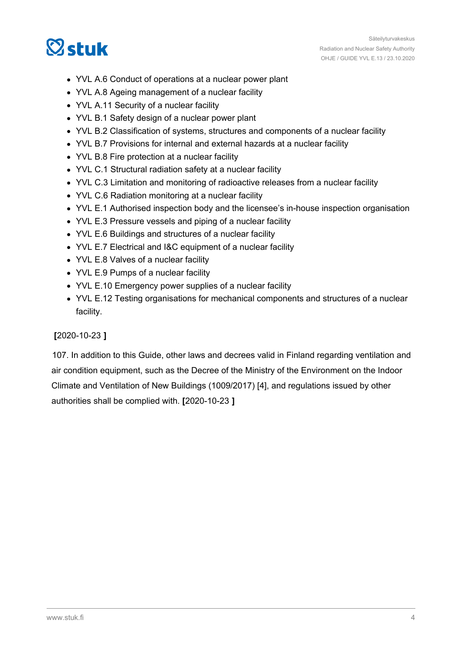# $\heartsuit$ stuk

- YVL A.6 Conduct of operations at a nuclear power plant
- YVL A.8 Ageing management of a nuclear facility
- YVL A.11 Security of a nuclear facility
- YVL B.1 Safety design of a nuclear power plant
- YVL B.2 Classification of systems, structures and components of a nuclear facility
- YVL B.7 Provisions for internal and external hazards at a nuclear facility
- YVL B.8 Fire protection at a nuclear facility
- YVL C.1 Structural radiation safety at a nuclear facility
- YVL C.3 Limitation and monitoring of radioactive releases from a nuclear facility
- YVL C.6 Radiation monitoring at a nuclear facility
- YVL E.1 Authorised inspection body and the licensee's in-house inspection organisation
- YVL E.3 Pressure vessels and piping of a nuclear facility
- YVL E.6 Buildings and structures of a nuclear facility
- YVL E.7 Electrical and I&C equipment of a nuclear facility
- YVL E.8 Valves of a nuclear facility
- YVL E.9 Pumps of a nuclear facility
- YVL E.10 Emergency power supplies of a nuclear facility
- YVL E.12 Testing organisations for mechanical components and structures of a nuclear facility.

## **[**2020-10-23 **]**

107. In addition to this Guide, other laws and decrees valid in Finland regarding ventilation and air condition equipment, such as the Decree of the Ministry of the Environment on the Indoor Climate and Ventilation of New Buildings (1009/2017) [4], and regulations issued by other authorities shall be complied with. **[**2020-10-23 **]**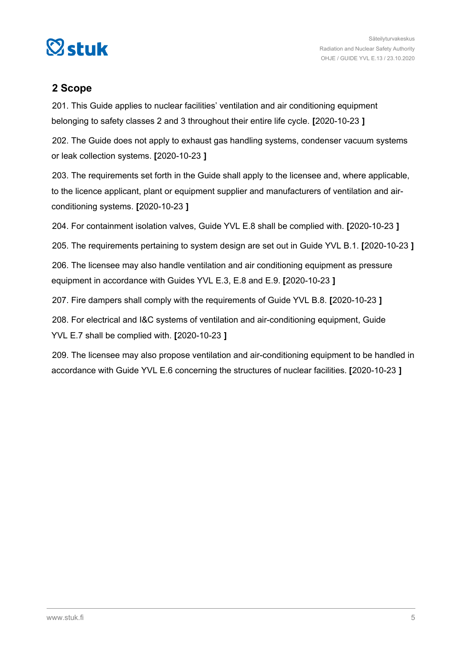<span id="page-4-0"></span>

# **2 Scope**

201. This Guide applies to nuclear facilities' ventilation and air conditioning equipment belonging to safety classes 2 and 3 throughout their entire life cycle. **[**2020-10-23 **]**

202. The Guide does not apply to exhaust gas handling systems, condenser vacuum systems or leak collection systems. **[**2020-10-23 **]**

203. The requirements set forth in the Guide shall apply to the licensee and, where applicable, to the licence applicant, plant or equipment supplier and manufacturers of ventilation and airconditioning systems. **[**2020-10-23 **]**

204. For containment isolation valves, Guide YVL E.8 shall be complied with. **[**2020-10-23 **]**

205. The requirements pertaining to system design are set out in Guide YVL B.1. **[**2020-10-23 **]**

206. The licensee may also handle ventilation and air conditioning equipment as pressure equipment in accordance with Guides YVL E.3, E.8 and E.9. **[**2020-10-23 **]**

207. Fire dampers shall comply with the requirements of Guide YVL B.8. **[**2020-10-23 **]**

208. For electrical and I&C systems of ventilation and air-conditioning equipment, Guide YVL E.7 shall be complied with. **[**2020-10-23 **]**

209. The licensee may also propose ventilation and air-conditioning equipment to be handled in accordance with Guide YVL E.6 concerning the structures of nuclear facilities. **[**2020-10-23 **]**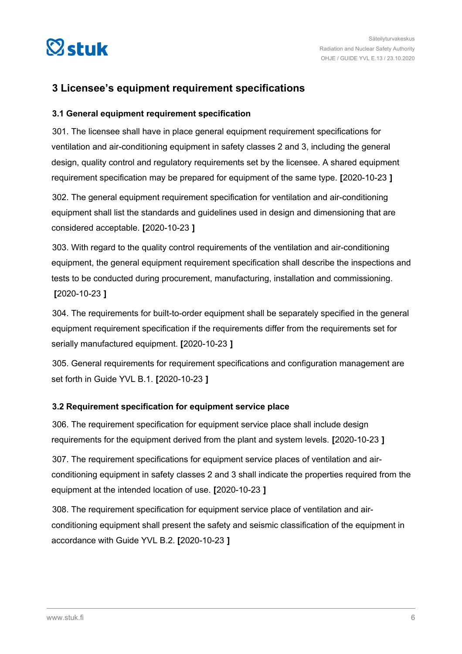<span id="page-5-0"></span>

# **3 Licensee's equipment requirement specifications**

## **3.1 General equipment requirement specification**

301. The licensee shall have in place general equipment requirement specifications for ventilation and air-conditioning equipment in safety classes 2 and 3, including the general design, quality control and regulatory requirements set by the licensee. A shared equipment requirement specification may be prepared for equipment of the same type. **[**2020-10-23 **]**

302. The general equipment requirement specification for ventilation and air-conditioning equipment shall list the standards and guidelines used in design and dimensioning that are considered acceptable. **[**2020-10-23 **]**

303. With regard to the quality control requirements of the ventilation and air-conditioning equipment, the general equipment requirement specification shall describe the inspections and tests to be conducted during procurement, manufacturing, installation and commissioning. **[**2020-10-23 **]**

304. The requirements for built-to-order equipment shall be separately specified in the general equipment requirement specification if the requirements differ from the requirements set for serially manufactured equipment. **[**2020-10-23 **]**

305. General requirements for requirement specifications and configuration management are set forth in Guide YVL B.1. **[**2020-10-23 **]**

## **3.2 Requirement specification for equipment service place**

306. The requirement specification for equipment service place shall include design requirements for the equipment derived from the plant and system levels. **[**2020-10-23 **]**

307. The requirement specifications for equipment service places of ventilation and airconditioning equipment in safety classes 2 and 3 shall indicate the properties required from the equipment at the intended location of use. **[**2020-10-23 **]**

308. The requirement specification for equipment service place of ventilation and airconditioning equipment shall present the safety and seismic classification of the equipment in accordance with Guide YVL B.2. **[**2020-10-23 **]**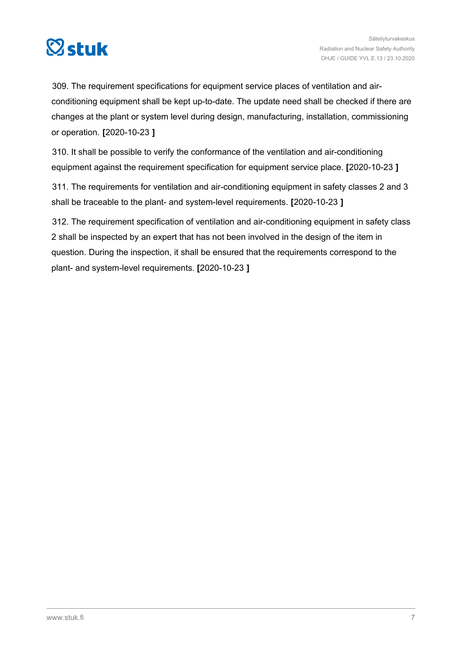

309. The requirement specifications for equipment service places of ventilation and airconditioning equipment shall be kept up-to-date. The update need shall be checked if there are changes at the plant or system level during design, manufacturing, installation, commissioning or operation. **[**2020-10-23 **]**

310. It shall be possible to verify the conformance of the ventilation and air-conditioning equipment against the requirement specification for equipment service place. **[**2020-10-23 **]**

311. The requirements for ventilation and air-conditioning equipment in safety classes 2 and 3 shall be traceable to the plant- and system-level requirements. **[**2020-10-23 **]**

312. The requirement specification of ventilation and air-conditioning equipment in safety class 2 shall be inspected by an expert that has not been involved in the design of the item in question. During the inspection, it shall be ensured that the requirements correspond to the plant- and system-level requirements. **[**2020-10-23 **]**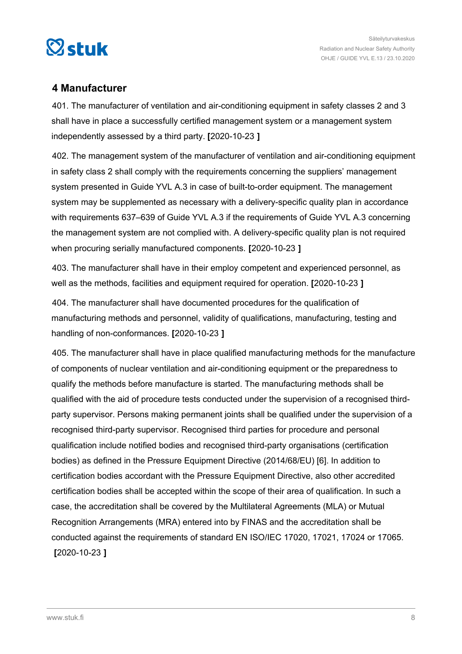<span id="page-7-0"></span>

# **4 Manufacturer**

401. The manufacturer of ventilation and air-conditioning equipment in safety classes 2 and 3 shall have in place a successfully certified management system or a management system independently assessed by a third party. **[**2020-10-23 **]**

402. The management system of the manufacturer of ventilation and air-conditioning equipment in safety class 2 shall comply with the requirements concerning the suppliers' management system presented in Guide YVL A.3 in case of built-to-order equipment. The management system may be supplemented as necessary with a delivery-specific quality plan in accordance with requirements 637–639 of Guide YVL A.3 if the requirements of Guide YVL A.3 concerning the management system are not complied with. A delivery-specific quality plan is not required when procuring serially manufactured components. **[**2020-10-23 **]**

403. The manufacturer shall have in their employ competent and experienced personnel, as well as the methods, facilities and equipment required for operation. **[**2020-10-23 **]**

404. The manufacturer shall have documented procedures for the qualification of manufacturing methods and personnel, validity of qualifications, manufacturing, testing and handling of non-conformances. **[**2020-10-23 **]**

405. The manufacturer shall have in place qualified manufacturing methods for the manufacture of components of nuclear ventilation and air-conditioning equipment or the preparedness to qualify the methods before manufacture is started. The manufacturing methods shall be qualified with the aid of procedure tests conducted under the supervision of a recognised thirdparty supervisor. Persons making permanent joints shall be qualified under the supervision of a recognised third-party supervisor. Recognised third parties for procedure and personal qualification include notified bodies and recognised third-party organisations (certification bodies) as defined in the Pressure Equipment Directive (2014/68/EU) [6]. In addition to certification bodies accordant with the Pressure Equipment Directive, also other accredited certification bodies shall be accepted within the scope of their area of qualification. In such a case, the accreditation shall be covered by the Multilateral Agreements (MLA) or Mutual Recognition Arrangements (MRA) entered into by FINAS and the accreditation shall be conducted against the requirements of standard EN ISO/IEC 17020, 17021, 17024 or 17065. **[**2020-10-23 **]**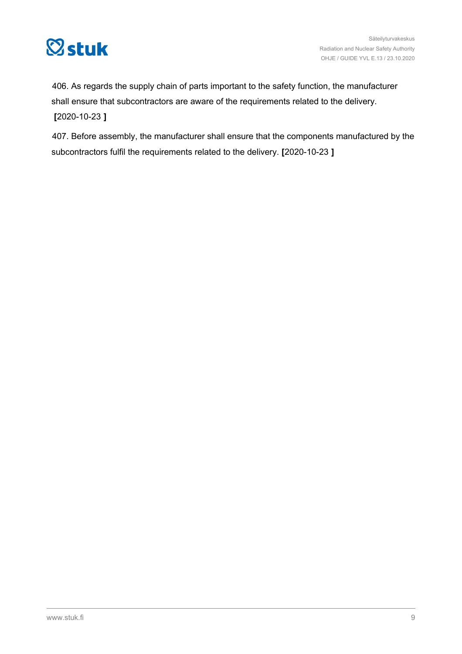

406. As regards the supply chain of parts important to the safety function, the manufacturer shall ensure that subcontractors are aware of the requirements related to the delivery. **[**2020-10-23 **]**

407. Before assembly, the manufacturer shall ensure that the components manufactured by the subcontractors fulfil the requirements related to the delivery. **[**2020-10-23 **]**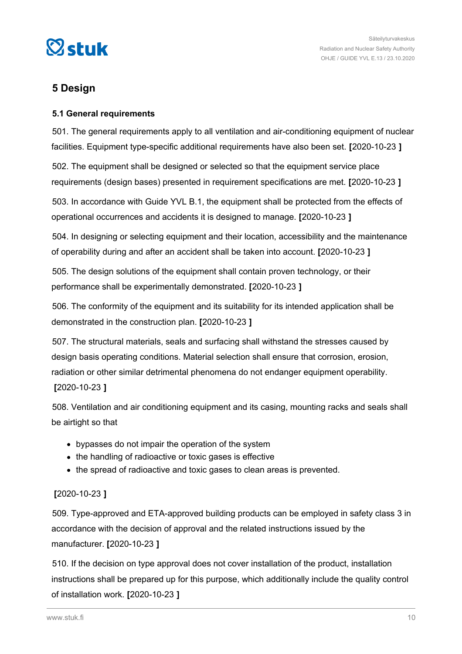<span id="page-9-0"></span>

# **5 Design**

## **5.1 General requirements**

501. The general requirements apply to all ventilation and air-conditioning equipment of nuclear facilities. Equipment type-specific additional requirements have also been set. **[**2020-10-23 **]**

502. The equipment shall be designed or selected so that the equipment service place requirements (design bases) presented in requirement specifications are met. **[**2020-10-23 **]**

503. In accordance with Guide YVL B.1, the equipment shall be protected from the effects of operational occurrences and accidents it is designed to manage. **[**2020-10-23 **]**

504. In designing or selecting equipment and their location, accessibility and the maintenance of operability during and after an accident shall be taken into account. **[**2020-10-23 **]**

505. The design solutions of the equipment shall contain proven technology, or their performance shall be experimentally demonstrated. **[**2020-10-23 **]**

506. The conformity of the equipment and its suitability for its intended application shall be demonstrated in the construction plan. **[**2020-10-23 **]**

507. The structural materials, seals and surfacing shall withstand the stresses caused by design basis operating conditions. Material selection shall ensure that corrosion, erosion, radiation or other similar detrimental phenomena do not endanger equipment operability. **[**2020-10-23 **]**

508. Ventilation and air conditioning equipment and its casing, mounting racks and seals shall be airtight so that

- bypasses do not impair the operation of the system
- the handling of radioactive or toxic gases is effective
- the spread of radioactive and toxic gases to clean areas is prevented.

# **[**2020-10-23 **]**

509. Type-approved and ETA-approved building products can be employed in safety class 3 in accordance with the decision of approval and the related instructions issued by the manufacturer. **[**2020-10-23 **]**

510. If the decision on type approval does not cover installation of the product, installation instructions shall be prepared up for this purpose, which additionally include the quality control of installation work. **[**2020-10-23 **]**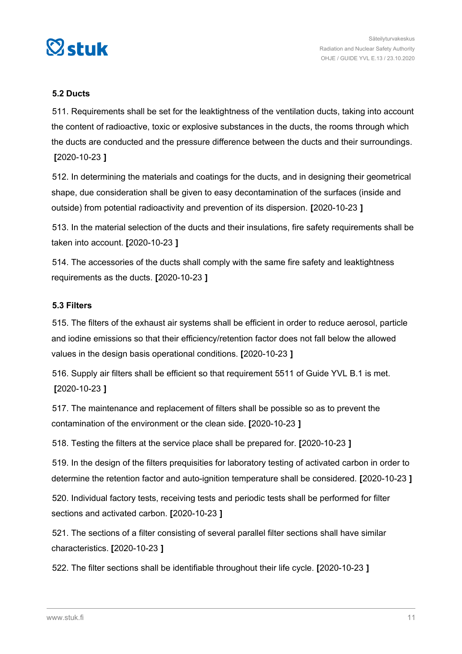<span id="page-10-0"></span>

## **5.2 Ducts**

511. Requirements shall be set for the leaktightness of the ventilation ducts, taking into account the content of radioactive, toxic or explosive substances in the ducts, the rooms through which the ducts are conducted and the pressure difference between the ducts and their surroundings. **[**2020-10-23 **]**

512. In determining the materials and coatings for the ducts, and in designing their geometrical shape, due consideration shall be given to easy decontamination of the surfaces (inside and outside) from potential radioactivity and prevention of its dispersion. **[**2020-10-23 **]**

513. In the material selection of the ducts and their insulations, fire safety requirements shall be taken into account. **[**2020-10-23 **]**

514. The accessories of the ducts shall comply with the same fire safety and leaktightness requirements as the ducts. **[**2020-10-23 **]**

#### **5.3 Filters**

515. The filters of the exhaust air systems shall be efficient in order to reduce aerosol, particle and iodine emissions so that their efficiency/retention factor does not fall below the allowed values in the design basis operational conditions. **[**2020-10-23 **]**

516. Supply air filters shall be efficient so that requirement 5511 of Guide YVL B.1 is met. **[**2020-10-23 **]**

517. The maintenance and replacement of filters shall be possible so as to prevent the contamination of the environment or the clean side. **[**2020-10-23 **]**

518. Testing the filters at the service place shall be prepared for. **[**2020-10-23 **]**

519. In the design of the filters prequisities for laboratory testing of activated carbon in order to determine the retention factor and auto-ignition temperature shall be considered. **[**2020-10-23 **]**

520. Individual factory tests, receiving tests and periodic tests shall be performed for filter sections and activated carbon. **[**2020-10-23 **]**

521. The sections of a filter consisting of several parallel filter sections shall have similar characteristics. **[**2020-10-23 **]**

522. The filter sections shall be identifiable throughout their life cycle. **[**2020-10-23 **]**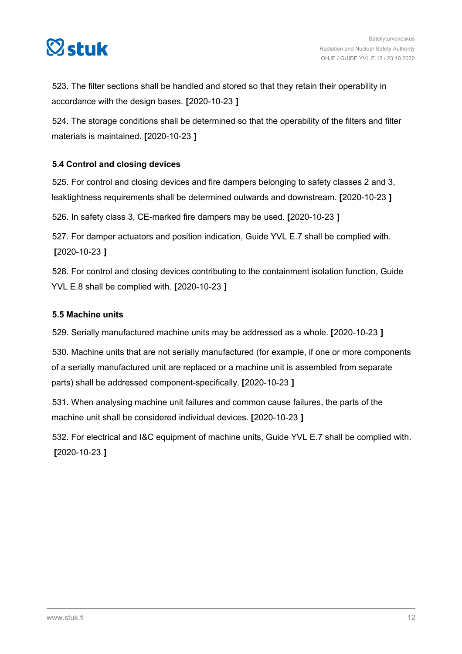<span id="page-11-0"></span>

523. The filter sections shall be handled and stored so that they retain their operability in accordance with the design bases. **[**2020-10-23 **]**

524. The storage conditions shall be determined so that the operability of the filters and filter materials is maintained. **[**2020-10-23 **]**

## **5.4 Control and closing devices**

525. For control and closing devices and fire dampers belonging to safety classes 2 and 3, leaktightness requirements shall be determined outwards and downstream. **[**2020-10-23 **]**

526. In safety class 3, CE-marked fire dampers may be used. **[**2020-10-23 **]**

527. For damper actuators and position indication, Guide YVL E.7 shall be complied with. **[**2020-10-23 **]**

528. For control and closing devices contributing to the containment isolation function, Guide YVL E.8 shall be complied with. **[**2020-10-23 **]**

## **5.5 Machine units**

529. Serially manufactured machine units may be addressed as a whole. **[**2020-10-23 **]**

530. Machine units that are not serially manufactured (for example, if one or more components of a serially manufactured unit are replaced or a machine unit is assembled from separate parts) shall be addressed component-specifically. **[**2020-10-23 **]**

531. When analysing machine unit failures and common cause failures, the parts of the machine unit shall be considered individual devices. **[**2020-10-23 **]**

532. For electrical and I&C equipment of machine units, Guide YVL E.7 shall be complied with. **[**2020-10-23 **]**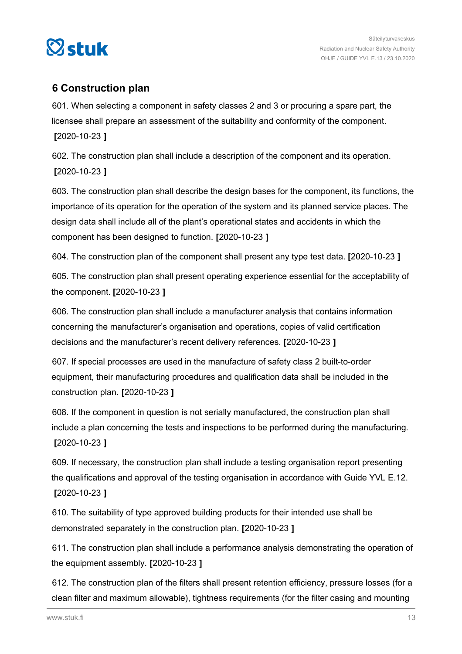<span id="page-12-0"></span>

# **6 Construction plan**

601. When selecting a component in safety classes 2 and 3 or procuring a spare part, the licensee shall prepare an assessment of the suitability and conformity of the component. **[**2020-10-23 **]**

602. The construction plan shall include a description of the component and its operation. **[**2020-10-23 **]**

603. The construction plan shall describe the design bases for the component, its functions, the importance of its operation for the operation of the system and its planned service places. The design data shall include all of the plant's operational states and accidents in which the component has been designed to function. **[**2020-10-23 **]**

604. The construction plan of the component shall present any type test data. **[**2020-10-23 **]**

605. The construction plan shall present operating experience essential for the acceptability of the component. **[**2020-10-23 **]**

606. The construction plan shall include a manufacturer analysis that contains information concerning the manufacturer's organisation and operations, copies of valid certification decisions and the manufacturer's recent delivery references. **[**2020-10-23 **]**

607. If special processes are used in the manufacture of safety class 2 built-to-order equipment, their manufacturing procedures and qualification data shall be included in the construction plan. **[**2020-10-23 **]**

608. If the component in question is not serially manufactured, the construction plan shall include a plan concerning the tests and inspections to be performed during the manufacturing. **[**2020-10-23 **]**

609. If necessary, the construction plan shall include a testing organisation report presenting the qualifications and approval of the testing organisation in accordance with Guide YVL E.12. **[**2020-10-23 **]**

610. The suitability of type approved building products for their intended use shall be demonstrated separately in the construction plan. **[**2020-10-23 **]**

611. The construction plan shall include a performance analysis demonstrating the operation of the equipment assembly. **[**2020-10-23 **]**

612. The construction plan of the filters shall present retention efficiency, pressure losses (for a clean filter and maximum allowable), tightness requirements (for the filter casing and mounting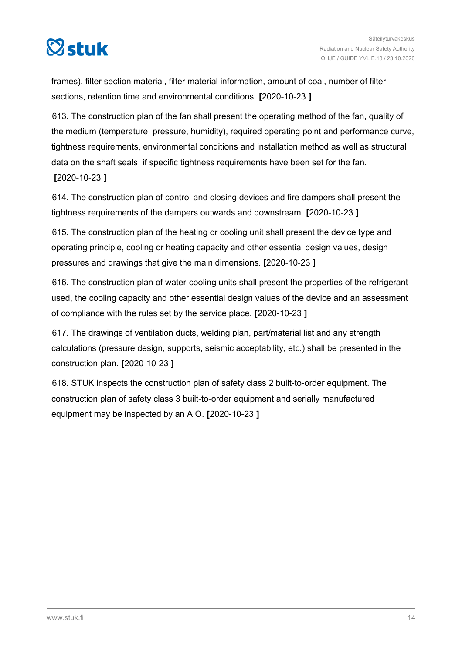

frames), filter section material, filter material information, amount of coal, number of filter sections, retention time and environmental conditions. **[**2020-10-23 **]**

613. The construction plan of the fan shall present the operating method of the fan, quality of the medium (temperature, pressure, humidity), required operating point and performance curve, tightness requirements, environmental conditions and installation method as well as structural data on the shaft seals, if specific tightness requirements have been set for the fan. **[**2020-10-23 **]**

614. The construction plan of control and closing devices and fire dampers shall present the tightness requirements of the dampers outwards and downstream. **[**2020-10-23 **]**

615. The construction plan of the heating or cooling unit shall present the device type and operating principle, cooling or heating capacity and other essential design values, design pressures and drawings that give the main dimensions. **[**2020-10-23 **]**

616. The construction plan of water-cooling units shall present the properties of the refrigerant used, the cooling capacity and other essential design values of the device and an assessment of compliance with the rules set by the service place. **[**2020-10-23 **]**

617. The drawings of ventilation ducts, welding plan, part/material list and any strength calculations (pressure design, supports, seismic acceptability, etc.) shall be presented in the construction plan. **[**2020-10-23 **]**

618. STUK inspects the construction plan of safety class 2 built-to-order equipment. The construction plan of safety class 3 built-to-order equipment and serially manufactured equipment may be inspected by an AIO. **[**2020-10-23 **]**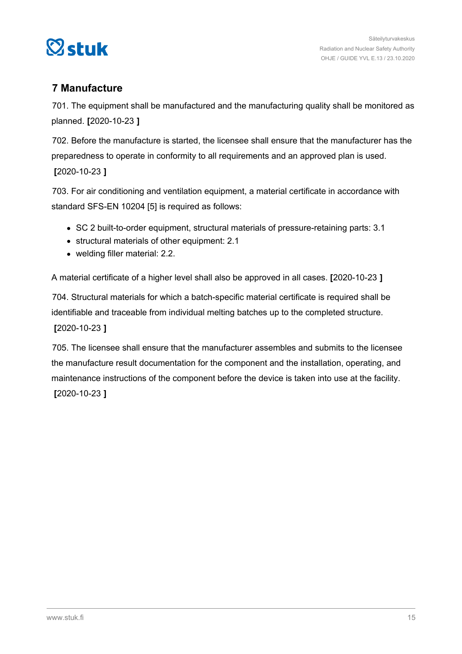<span id="page-14-0"></span>

# **7 Manufacture**

701. The equipment shall be manufactured and the manufacturing quality shall be monitored as planned. **[**2020-10-23 **]**

702. Before the manufacture is started, the licensee shall ensure that the manufacturer has the preparedness to operate in conformity to all requirements and an approved plan is used. **[**2020-10-23 **]**

703. For air conditioning and ventilation equipment, a material certificate in accordance with standard SFS-EN 10204 [5] is required as follows:

- SC 2 built-to-order equipment, structural materials of pressure-retaining parts: 3.1
- structural materials of other equipment: 2.1
- welding filler material: 2.2.

A material certificate of a higher level shall also be approved in all cases. **[**2020-10-23 **]**

704. Structural materials for which a batch-specific material certificate is required shall be identifiable and traceable from individual melting batches up to the completed structure. **[**2020-10-23 **]**

705. The licensee shall ensure that the manufacturer assembles and submits to the licensee the manufacture result documentation for the component and the installation, operating, and maintenance instructions of the component before the device is taken into use at the facility. **[**2020-10-23 **]**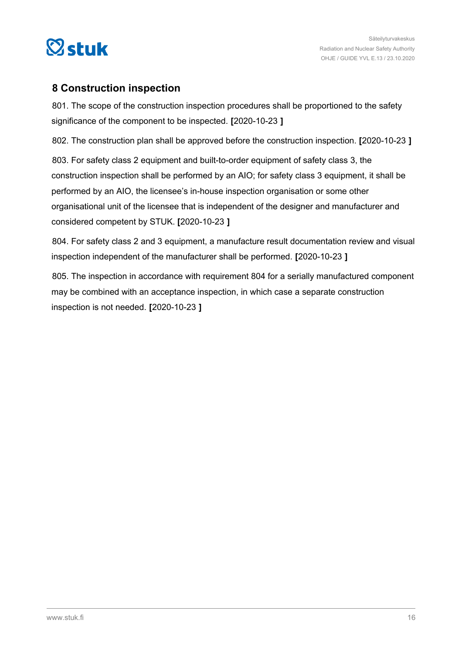<span id="page-15-0"></span>

# **8 Construction inspection**

801. The scope of the construction inspection procedures shall be proportioned to the safety significance of the component to be inspected. **[**2020-10-23 **]**

802. The construction plan shall be approved before the construction inspection. **[**2020-10-23 **]**

803. For safety class 2 equipment and built-to-order equipment of safety class 3, the construction inspection shall be performed by an AIO; for safety class 3 equipment, it shall be performed by an AIO, the licensee's in-house inspection organisation or some other organisational unit of the licensee that is independent of the designer and manufacturer and considered competent by STUK. **[**2020-10-23 **]**

804. For safety class 2 and 3 equipment, a manufacture result documentation review and visual inspection independent of the manufacturer shall be performed. **[**2020-10-23 **]**

805. The inspection in accordance with requirement 804 for a serially manufactured component may be combined with an acceptance inspection, in which case a separate construction inspection is not needed. **[**2020-10-23 **]**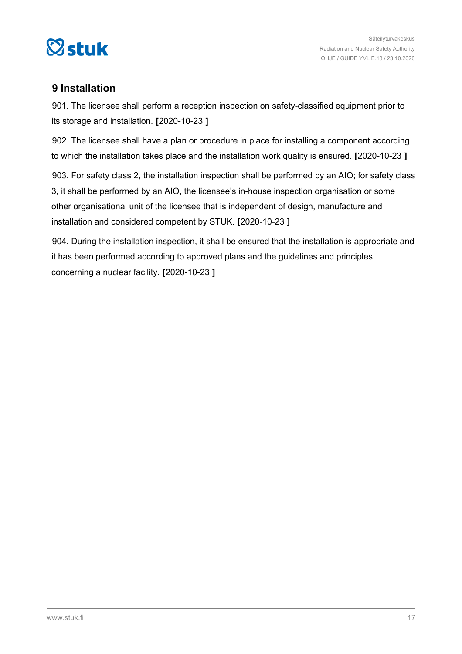<span id="page-16-0"></span>

# **9 Installation**

901. The licensee shall perform a reception inspection on safety-classified equipment prior to its storage and installation. **[**2020-10-23 **]**

902. The licensee shall have a plan or procedure in place for installing a component according to which the installation takes place and the installation work quality is ensured. **[**2020-10-23 **]**

903. For safety class 2, the installation inspection shall be performed by an AIO; for safety class 3, it shall be performed by an AIO, the licensee's in-house inspection organisation or some other organisational unit of the licensee that is independent of design, manufacture and installation and considered competent by STUK. **[**2020-10-23 **]**

904. During the installation inspection, it shall be ensured that the installation is appropriate and it has been performed according to approved plans and the guidelines and principles concerning a nuclear facility. **[**2020-10-23 **]**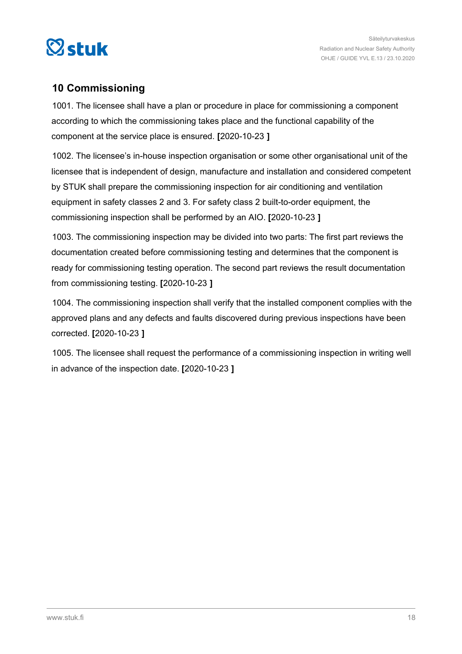<span id="page-17-0"></span>

# **10 Commissioning**

1001. The licensee shall have a plan or procedure in place for commissioning a component according to which the commissioning takes place and the functional capability of the component at the service place is ensured. **[**2020-10-23 **]**

1002. The licensee's in-house inspection organisation or some other organisational unit of the licensee that is independent of design, manufacture and installation and considered competent by STUK shall prepare the commissioning inspection for air conditioning and ventilation equipment in safety classes 2 and 3. For safety class 2 built-to-order equipment, the commissioning inspection shall be performed by an AIO. **[**2020-10-23 **]**

1003. The commissioning inspection may be divided into two parts: The first part reviews the documentation created before commissioning testing and determines that the component is ready for commissioning testing operation. The second part reviews the result documentation from commissioning testing. **[**2020-10-23 **]**

1004. The commissioning inspection shall verify that the installed component complies with the approved plans and any defects and faults discovered during previous inspections have been corrected. **[**2020-10-23 **]**

1005. The licensee shall request the performance of a commissioning inspection in writing well in advance of the inspection date. **[**2020-10-23 **]**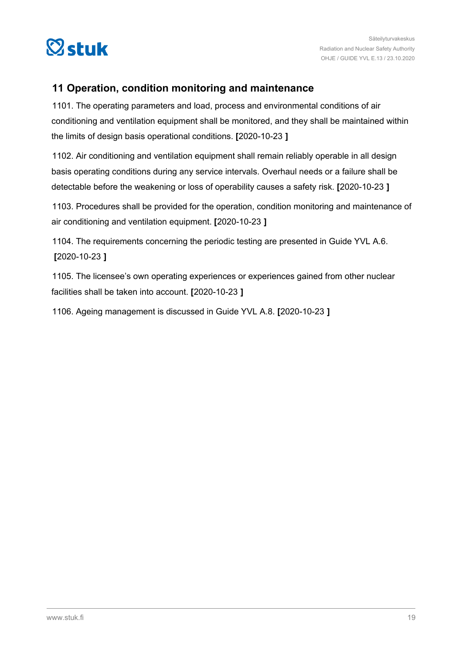<span id="page-18-0"></span>

# **11 Operation, condition monitoring and maintenance**

1101. The operating parameters and load, process and environmental conditions of air conditioning and ventilation equipment shall be monitored, and they shall be maintained within the limits of design basis operational conditions. **[**2020-10-23 **]**

1102. Air conditioning and ventilation equipment shall remain reliably operable in all design basis operating conditions during any service intervals. Overhaul needs or a failure shall be detectable before the weakening or loss of operability causes a safety risk. **[**2020-10-23 **]**

1103. Procedures shall be provided for the operation, condition monitoring and maintenance of air conditioning and ventilation equipment. **[**2020-10-23 **]**

1104. The requirements concerning the periodic testing are presented in Guide YVL A.6. **[**2020-10-23 **]**

1105. The licensee's own operating experiences or experiences gained from other nuclear facilities shall be taken into account. **[**2020-10-23 **]**

1106. Ageing management is discussed in Guide YVL A.8. **[**2020-10-23 **]**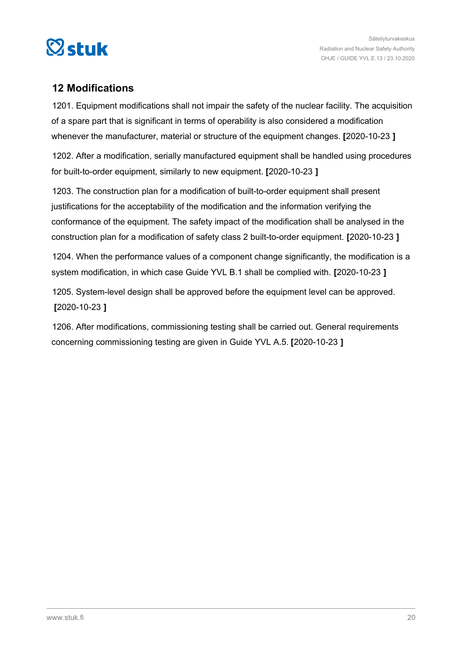<span id="page-19-0"></span>

# **12 Modifications**

1201. Equipment modifications shall not impair the safety of the nuclear facility. The acquisition of a spare part that is significant in terms of operability is also considered a modification whenever the manufacturer, material or structure of the equipment changes. **[**2020-10-23 **]**

1202. After a modification, serially manufactured equipment shall be handled using procedures for built-to-order equipment, similarly to new equipment. **[**2020-10-23 **]**

1203. The construction plan for a modification of built-to-order equipment shall present justifications for the acceptability of the modification and the information verifying the conformance of the equipment. The safety impact of the modification shall be analysed in the construction plan for a modification of safety class 2 built-to-order equipment. **[**2020-10-23 **]**

1204. When the performance values of a component change significantly, the modification is a system modification, in which case Guide YVL B.1 shall be complied with. **[**2020-10-23 **]**

1205. System-level design shall be approved before the equipment level can be approved. **[**2020-10-23 **]**

1206. After modifications, commissioning testing shall be carried out. General requirements concerning commissioning testing are given in Guide YVL A.5. **[**2020-10-23 **]**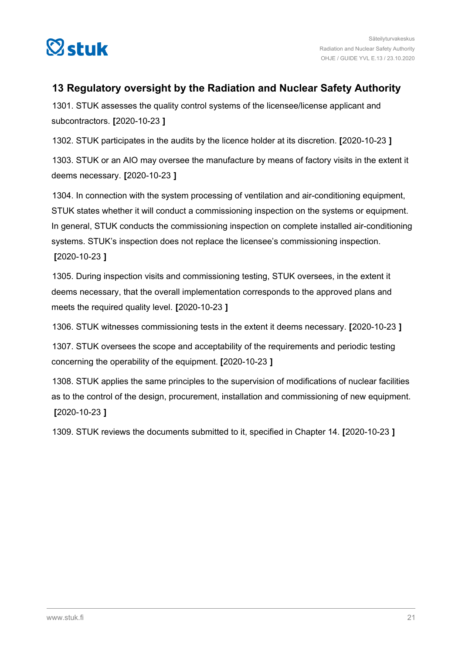<span id="page-20-0"></span>

# **13 Regulatory oversight by the Radiation and Nuclear Safety Authority**

1301. STUK assesses the quality control systems of the licensee/license applicant and subcontractors. **[**2020-10-23 **]**

1302. STUK participates in the audits by the licence holder at its discretion. **[**2020-10-23 **]**

1303. STUK or an AIO may oversee the manufacture by means of factory visits in the extent it deems necessary. **[**2020-10-23 **]**

1304. In connection with the system processing of ventilation and air-conditioning equipment, STUK states whether it will conduct a commissioning inspection on the systems or equipment. In general, STUK conducts the commissioning inspection on complete installed air-conditioning systems. STUK's inspection does not replace the licensee's commissioning inspection. **[**2020-10-23 **]**

1305. During inspection visits and commissioning testing, STUK oversees, in the extent it deems necessary, that the overall implementation corresponds to the approved plans and meets the required quality level. **[**2020-10-23 **]**

1306. STUK witnesses commissioning tests in the extent it deems necessary. **[**2020-10-23 **]**

1307. STUK oversees the scope and acceptability of the requirements and periodic testing concerning the operability of the equipment. **[**2020-10-23 **]**

1308. STUK applies the same principles to the supervision of modifications of nuclear facilities as to the control of the design, procurement, installation and commissioning of new equipment. **[**2020-10-23 **]**

1309. STUK reviews the documents submitted to it, specified in Chapter 14. **[**2020-10-23 **]**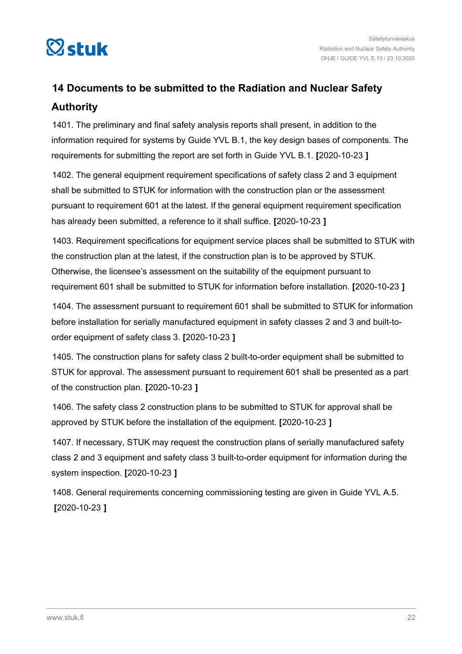<span id="page-21-0"></span>

# **14 Documents to be submitted to the Radiation and Nuclear Safety Authority**

1401. The preliminary and final safety analysis reports shall present, in addition to the information required for systems by Guide YVL B.1, the key design bases of components. The requirements for submitting the report are set forth in Guide YVL B.1. **[**2020-10-23 **]**

1402. The general equipment requirement specifications of safety class 2 and 3 equipment shall be submitted to STUK for information with the construction plan or the assessment pursuant to requirement 601 at the latest. If the general equipment requirement specification has already been submitted, a reference to it shall suffice. **[**2020-10-23 **]**

1403. Requirement specifications for equipment service places shall be submitted to STUK with the construction plan at the latest, if the construction plan is to be approved by STUK. Otherwise, the licensee's assessment on the suitability of the equipment pursuant to requirement 601 shall be submitted to STUK for information before installation. **[**2020-10-23 **]**

1404. The assessment pursuant to requirement 601 shall be submitted to STUK for information before installation for serially manufactured equipment in safety classes 2 and 3 and built-toorder equipment of safety class 3. **[**2020-10-23 **]**

1405. The construction plans for safety class 2 built-to-order equipment shall be submitted to STUK for approval. The assessment pursuant to requirement 601 shall be presented as a part of the construction plan. **[**2020-10-23 **]**

1406. The safety class 2 construction plans to be submitted to STUK for approval shall be approved by STUK before the installation of the equipment. **[**2020-10-23 **]**

1407. If necessary, STUK may request the construction plans of serially manufactured safety class 2 and 3 equipment and safety class 3 built-to-order equipment for information during the system inspection. **[**2020-10-23 **]**

1408. General requirements concerning commissioning testing are given in Guide YVL A.5. **[**2020-10-23 **]**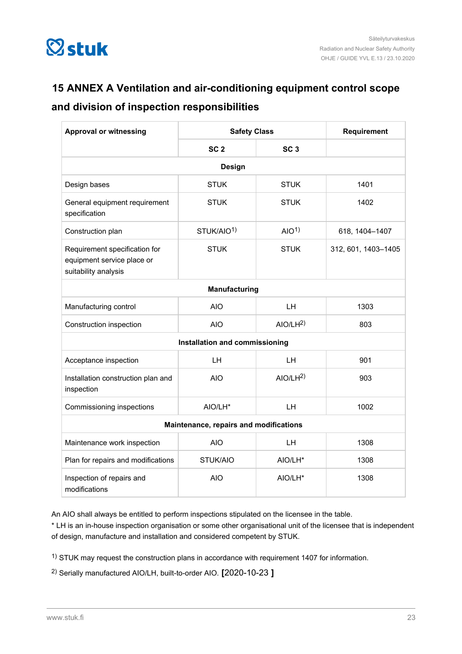<span id="page-22-0"></span>

# **15 ANNEX A Ventilation and air-conditioning equipment control scope**

# **and division of inspection responsibilities**

| <b>Approval or witnessing</b>                                                       | <b>Safety Class</b>    |                     | Requirement         |  |  |  |
|-------------------------------------------------------------------------------------|------------------------|---------------------|---------------------|--|--|--|
|                                                                                     | SC <sub>2</sub>        | SC <sub>3</sub>     |                     |  |  |  |
| Design                                                                              |                        |                     |                     |  |  |  |
| Design bases                                                                        | <b>STUK</b>            | <b>STUK</b>         | 1401                |  |  |  |
| General equipment requirement<br>specification                                      | <b>STUK</b>            | <b>STUK</b>         | 1402                |  |  |  |
| Construction plan                                                                   | STUK/AIO <sup>1)</sup> | AIO <sup>1</sup>    | 618, 1404-1407      |  |  |  |
| Requirement specification for<br>equipment service place or<br>suitability analysis | <b>STUK</b>            | <b>STUK</b>         | 312, 601, 1403-1405 |  |  |  |
| Manufacturing                                                                       |                        |                     |                     |  |  |  |
| Manufacturing control                                                               | <b>AIO</b>             | LH                  | 1303                |  |  |  |
| Construction inspection                                                             | <b>AIO</b>             | AIO/LH <sup>2</sup> | 803                 |  |  |  |
| Installation and commissioning                                                      |                        |                     |                     |  |  |  |
| Acceptance inspection                                                               | LH                     | <b>LH</b>           | 901                 |  |  |  |
| Installation construction plan and<br>inspection                                    | <b>AIO</b>             | AIO/LH <sup>2</sup> | 903                 |  |  |  |
| Commissioning inspections                                                           | AIO/LH <sup>*</sup>    | IН.                 | 1002                |  |  |  |
| Maintenance, repairs and modifications                                              |                        |                     |                     |  |  |  |
| Maintenance work inspection                                                         | <b>AIO</b>             | <b>LH</b>           | 1308                |  |  |  |
| Plan for repairs and modifications                                                  | STUK/AIO               | AIO/LH*             | 1308                |  |  |  |
| Inspection of repairs and<br>modifications                                          | <b>AIO</b>             | AIO/LH*             | 1308                |  |  |  |

An AIO shall always be entitled to perform inspections stipulated on the licensee in the table.

\* LH is an in-house inspection organisation or some other organisational unit of the licensee that is independent of design, manufacture and installation and considered competent by STUK.

1) STUK may request the construction plans in accordance with requirement 1407 for information.

2) Serially manufactured AIO/LH, built-to-order AIO. **[**2020-10-23 **]**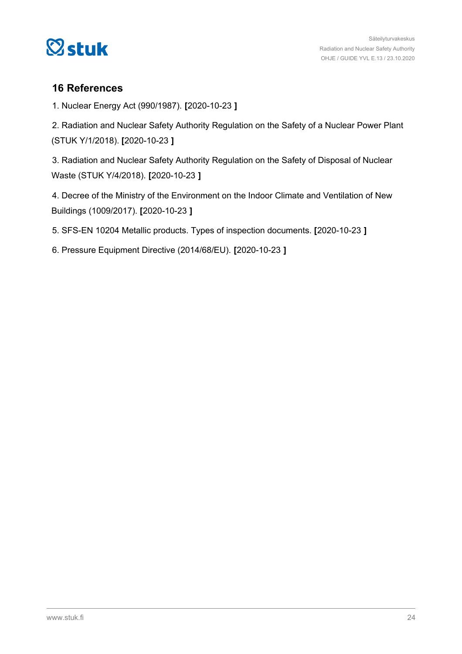<span id="page-23-0"></span>

# **16 References**

1. Nuclear Energy Act (990/1987). **[**2020-10-23 **]**

2. Radiation and Nuclear Safety Authority Regulation on the Safety of a Nuclear Power Plant (STUK Y/1/2018). **[**2020-10-23 **]**

3. Radiation and Nuclear Safety Authority Regulation on the Safety of Disposal of Nuclear Waste (STUK Y/4/2018). **[**2020-10-23 **]**

4. Decree of the Ministry of the Environment on the Indoor Climate and Ventilation of New Buildings (1009/2017). **[**2020-10-23 **]**

5. SFS-EN 10204 Metallic products. Types of inspection documents. **[**2020-10-23 **]**

6. Pressure Equipment Directive (2014/68/EU). **[**2020-10-23 **]**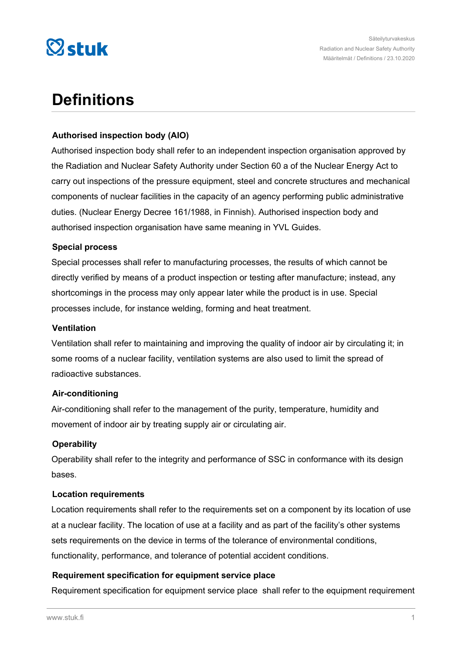

# **Definitions**

#### **Authorised inspection body (AIO)**

Authorised inspection body shall refer to an independent inspection organisation approved by the Radiation and Nuclear Safety Authority under Section 60 a of the Nuclear Energy Act to carry out inspections of the pressure equipment, steel and concrete structures and mechanical components of nuclear facilities in the capacity of an agency performing public administrative duties. (Nuclear Energy Decree 161/1988, in Finnish). Authorised inspection body and authorised inspection organisation have same meaning in YVL Guides.

#### **Special process**

Special processes shall refer to manufacturing processes, the results of which cannot be directly verified by means of a product inspection or testing after manufacture; instead, any shortcomings in the process may only appear later while the product is in use. Special processes include, for instance welding, forming and heat treatment.

#### **Ventilation**

Ventilation shall refer to maintaining and improving the quality of indoor air by circulating it; in some rooms of a nuclear facility, ventilation systems are also used to limit the spread of radioactive substances.

## **Air-conditioning**

Air-conditioning shall refer to the management of the purity, temperature, humidity and movement of indoor air by treating supply air or circulating air.

## **Operability**

Operability shall refer to the integrity and performance of SSC in conformance with its design bases.

#### **Location requirements**

Location requirements shall refer to the requirements set on a component by its location of use at a nuclear facility. The location of use at a facility and as part of the facility's other systems sets requirements on the device in terms of the tolerance of environmental conditions, functionality, performance, and tolerance of potential accident conditions.

## **Requirement specification for equipment service place**

Requirement specification for equipment service place shall refer to the equipment requirement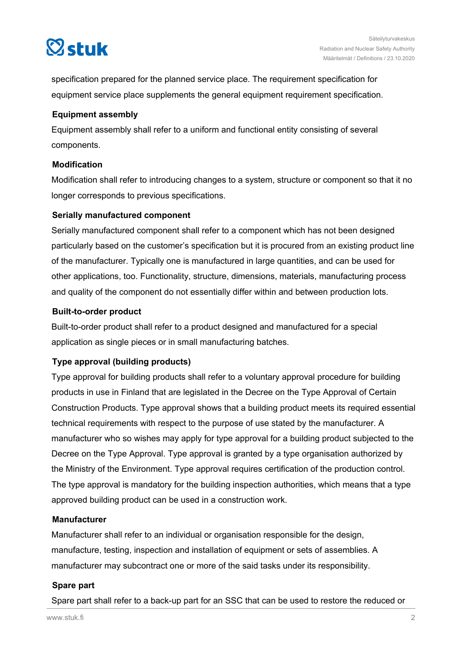

specification prepared for the planned service place. The requirement specification for equipment service place supplements the general equipment requirement specification.

#### **Equipment assembly**

Equipment assembly shall refer to a uniform and functional entity consisting of several components.

#### **Modification**

Modification shall refer to introducing changes to a system, structure or component so that it no longer corresponds to previous specifications.

## **Serially manufactured component**

Serially manufactured component shall refer to a component which has not been designed particularly based on the customer's specification but it is procured from an existing product line of the manufacturer. Typically one is manufactured in large quantities, and can be used for other applications, too. Functionality, structure, dimensions, materials, manufacturing process and quality of the component do not essentially differ within and between production lots.

#### **Built-to-order product**

Built-to-order product shall refer to a product designed and manufactured for a special application as single pieces or in small manufacturing batches.

## **Type approval (building products)**

Type approval for building products shall refer to a voluntary approval procedure for building products in use in Finland that are legislated in the Decree on the Type Approval of Certain Construction Products. Type approval shows that a building product meets its required essential technical requirements with respect to the purpose of use stated by the manufacturer. A manufacturer who so wishes may apply for type approval for a building product subjected to the Decree on the Type Approval. Type approval is granted by a type organisation authorized by the Ministry of the Environment. Type approval requires certification of the production control. The type approval is mandatory for the building inspection authorities, which means that a type approved building product can be used in a construction work.

## **Manufacturer**

Manufacturer shall refer to an individual or organisation responsible for the design, manufacture, testing, inspection and installation of equipment or sets of assemblies. A manufacturer may subcontract one or more of the said tasks under its responsibility.

#### **Spare part**

Spare part shall refer to a back-up part for an SSC that can be used to restore the reduced or